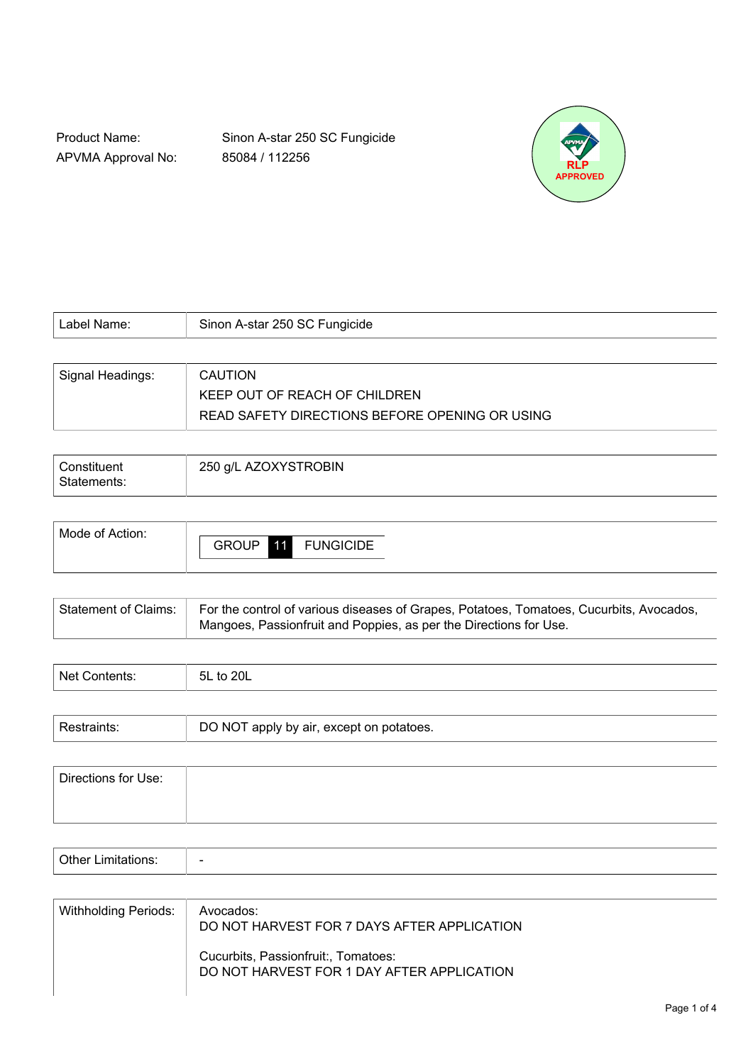Product Name: APVMA Approval No: Sinon A-star 250 SC Fungicide 85084 / 112256



| Label Name:      | Sinon A-star 250 SC Fungicide                  |
|------------------|------------------------------------------------|
|                  |                                                |
| Signal Headings: | <b>CAUTION</b>                                 |
|                  | KEEP OUT OF REACH OF CHILDREN                  |
|                  | READ SAFETY DIRECTIONS BEFORE OPENING OR USING |

| Constituent<br>Statements: | 250 g/L AZOXYSTROBIN |
|----------------------------|----------------------|
|                            |                      |

| Mode of Action: |              |    |                  |
|-----------------|--------------|----|------------------|
|                 | <b>GROUP</b> | 11 | <b>FUNGICIDE</b> |
|                 |              |    |                  |

| Statement of Claims: For the control of various diseases of Grapes, Potatoes, Tomatoes, Cucurbits, Avocados, |
|--------------------------------------------------------------------------------------------------------------|
| Mangoes, Passionfruit and Poppies, as per the Directions for Use.                                            |

| Nat          | ا00                                       |
|--------------|-------------------------------------------|
| . <b>. .</b> | <b>5L</b>                                 |
| ີ            | . ◡ –                                     |
|              | $\sim$ $\sim$ $\sim$ $\sim$ $\sim$ $\sim$ |
|              |                                           |

| Γ apply by air, except on potatoes.<br>NO.<br>50.190 |
|------------------------------------------------------|
|------------------------------------------------------|

| Directions for Use: |  |  |
|---------------------|--|--|
|                     |  |  |
|                     |  |  |

| $\mathbf{v}$<br>-----<br>. |  |
|----------------------------|--|
|----------------------------|--|

| <b>Withholding Periods:</b> | Avocados:<br>DO NOT HARVEST FOR 7 DAYS AFTER APPLICATION                          |
|-----------------------------|-----------------------------------------------------------------------------------|
|                             | Cucurbits, Passionfruit:, Tomatoes:<br>DO NOT HARVEST FOR 1 DAY AFTER APPLICATION |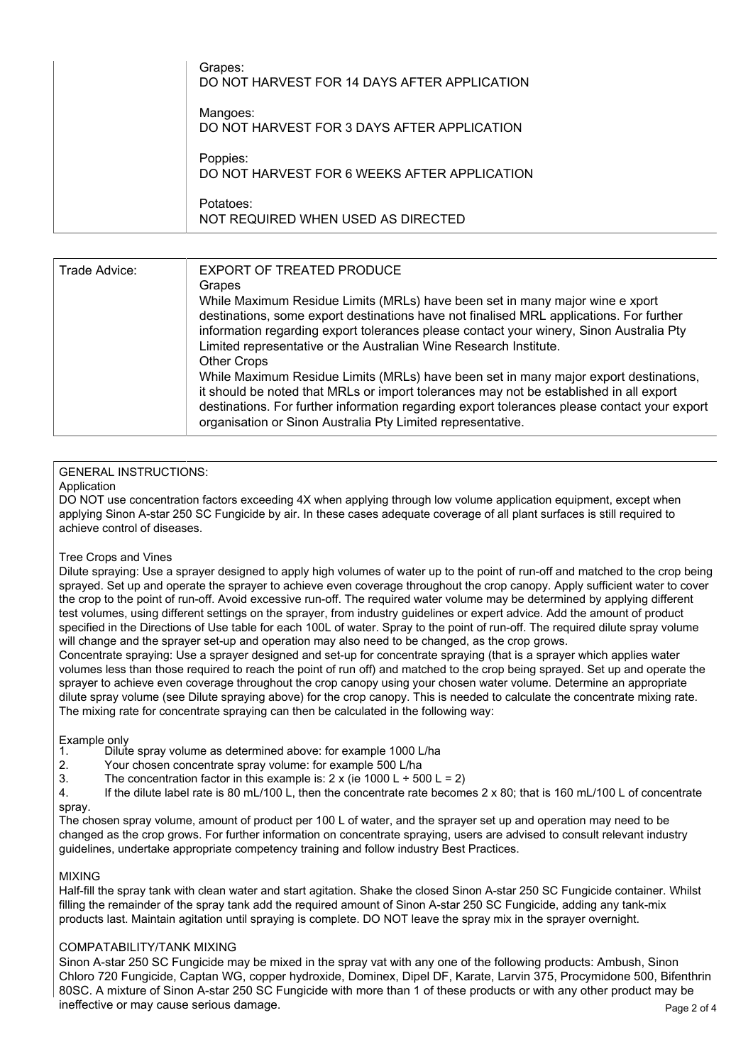| DO NOT HARVEST FOR 14 DAYS AFTER APPLICATION<br>Mangoes:<br>DO NOT HARVEST FOR 3 DAYS AFTER APPLICATION<br>Poppies: |
|---------------------------------------------------------------------------------------------------------------------|
| DO NOT HARVEST FOR 6 WEEKS AFTER APPLICATION<br>Potatoes:<br>NOT REQUIRED WHEN USED AS DIRECTED                     |

| Trade Advice: | EXPORT OF TREATED PRODUCE<br>Grapes<br>While Maximum Residue Limits (MRLs) have been set in many major wine e xport<br>destinations, some export destinations have not finalised MRL applications. For further<br>information regarding export tolerances please contact your winery, Sinon Australia Pty<br>Limited representative or the Australian Wine Research Institute.<br>Other Crops<br>While Maximum Residue Limits (MRLs) have been set in many major export destinations,<br>it should be noted that MRLs or import tolerances may not be established in all export<br>destinations. For further information regarding export tolerances please contact your export |
|---------------|---------------------------------------------------------------------------------------------------------------------------------------------------------------------------------------------------------------------------------------------------------------------------------------------------------------------------------------------------------------------------------------------------------------------------------------------------------------------------------------------------------------------------------------------------------------------------------------------------------------------------------------------------------------------------------|
|               | organisation or Sinon Australia Pty Limited representative.                                                                                                                                                                                                                                                                                                                                                                                                                                                                                                                                                                                                                     |

#### GENERAL INSTRUCTIONS:

#### Application

DO NOT use concentration factors exceeding 4X when applying through low volume application equipment, except when applying Sinon A-star 250 SC Fungicide by air. In these cases adequate coverage of all plant surfaces is still required to achieve control of diseases.

#### Tree Crops and Vines

Dilute spraying: Use a sprayer designed to apply high volumes of water up to the point of run-off and matched to the crop being sprayed. Set up and operate the sprayer to achieve even coverage throughout the crop canopy. Apply sufficient water to cover the crop to the point of run-off. Avoid excessive run-off. The required water volume may be determined by applying different test volumes, using different settings on the sprayer, from industry guidelines or expert advice. Add the amount of product specified in the Directions of Use table for each 100L of water. Spray to the point of run-off. The required dilute spray volume will change and the sprayer set-up and operation may also need to be changed, as the crop grows.

Concentrate spraying: Use a sprayer designed and set-up for concentrate spraying (that is a sprayer which applies water volumes less than those required to reach the point of run off) and matched to the crop being sprayed. Set up and operate the sprayer to achieve even coverage throughout the crop canopy using your chosen water volume. Determine an appropriate dilute spray volume (see Dilute spraying above) for the crop canopy. This is needed to calculate the concentrate mixing rate. The mixing rate for concentrate spraying can then be calculated in the following way:

## Example only<br>1. Dilut

- Dilute spray volume as determined above: for example 1000 L/ha
- 2. Your chosen concentrate spray volume: for example 500 L/ha
- 3. The concentration factor in this example is:  $2 \times$  (ie 1000 L ÷ 500 L = 2)

4. If the dilute label rate is 80 mL/100 L, then the concentrate rate becomes 2 x 80; that is 160 mL/100 L of concentrate spray.

The chosen spray volume, amount of product per 100 L of water, and the sprayer set up and operation may need to be changed as the crop grows. For further information on concentrate spraying, users are advised to consult relevant industry guidelines, undertake appropriate competency training and follow industry Best Practices.

#### MIXING

Half-fill the spray tank with clean water and start agitation. Shake the closed Sinon A-star 250 SC Fungicide container. Whilst filling the remainder of the spray tank add the required amount of Sinon A-star 250 SC Fungicide, adding any tank-mix products last. Maintain agitation until spraying is complete. DO NOT leave the spray mix in the sprayer overnight.

#### COMPATABILITY/TANK MIXING

Page 2 of 4 Sinon A-star 250 SC Fungicide may be mixed in the spray vat with any one of the following products: Ambush, Sinon Chloro 720 Fungicide, Captan WG, copper hydroxide, Dominex, Dipel DF, Karate, Larvin 375, Procymidone 500, Bifenthrin 80SC. A mixture of Sinon A-star 250 SC Fungicide with more than 1 of these products or with any other product may be ineffective or may cause serious damage.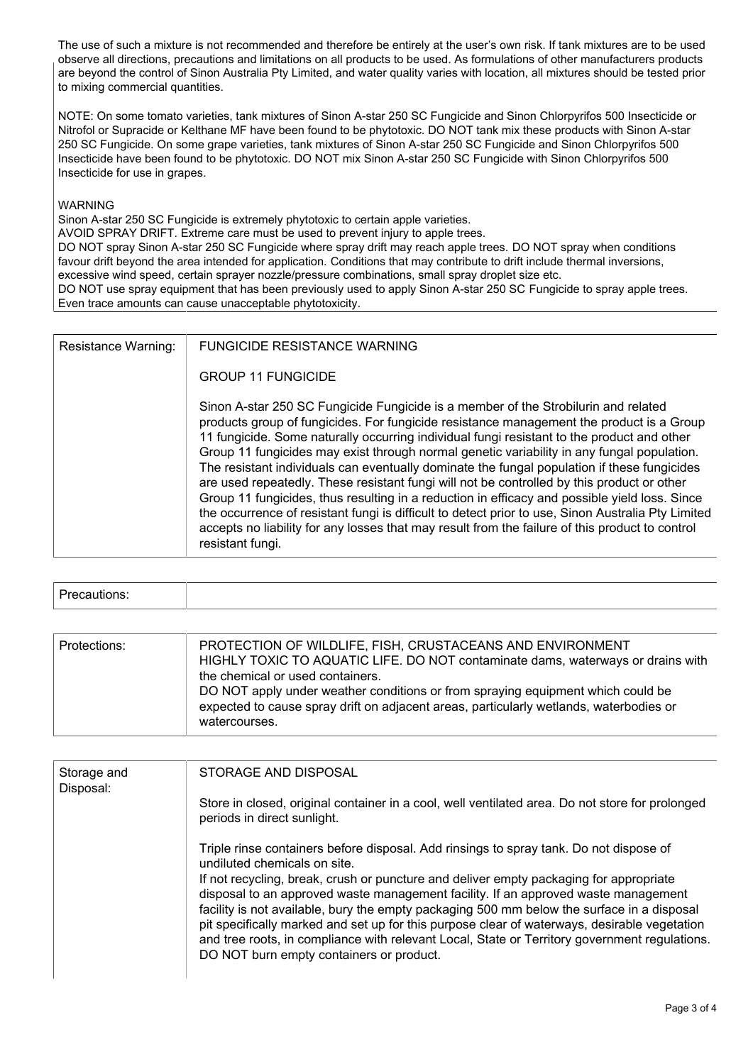The use of such a mixture is not recommended and therefore be entirely at the user's own risk. If tank mixtures are to be used observe all directions, precautions and limitations on all products to be used. As formulations of other manufacturers products are beyond the control of Sinon Australia Pty Limited, and water quality varies with location, all mixtures should be tested prior to mixing commercial quantities.

NOTE: On some tomato varieties, tank mixtures of Sinon A-star 250 SC Fungicide and Sinon Chlorpyrifos 500 Insecticide or Nitrofol or Supracide or Kelthane MF have been found to be phytotoxic. DO NOT tank mix these products with Sinon A-star 250 SC Fungicide. On some grape varieties, tank mixtures of Sinon A-star 250 SC Fungicide and Sinon Chlorpyrifos 500 Insecticide have been found to be phytotoxic. DO NOT mix Sinon A-star 250 SC Fungicide with Sinon Chlorpyrifos 500 Insecticide for use in grapes.

#### WARNING

Sinon A-star 250 SC Fungicide is extremely phytotoxic to certain apple varieties.

AVOID SPRAY DRIFT. Extreme care must be used to prevent injury to apple trees.

DO NOT spray Sinon A-star 250 SC Fungicide where spray drift may reach apple trees. DO NOT spray when conditions favour drift beyond the area intended for application. Conditions that may contribute to drift include thermal inversions, excessive wind speed, certain sprayer nozzle/pressure combinations, small spray droplet size etc.

DO NOT use spray equipment that has been previously used to apply Sinon A-star 250 SC Fungicide to spray apple trees. Even trace amounts can cause unacceptable phytotoxicity.

| <b>Resistance Warning:</b> | <b>FUNGICIDE RESISTANCE WARNING</b><br><b>GROUP 11 FUNGICIDE</b>                                                                                                                                                                                                                                                                                                                                                                                                                                                                                                                                                                                                                                                                                                                                                                                                                                      |
|----------------------------|-------------------------------------------------------------------------------------------------------------------------------------------------------------------------------------------------------------------------------------------------------------------------------------------------------------------------------------------------------------------------------------------------------------------------------------------------------------------------------------------------------------------------------------------------------------------------------------------------------------------------------------------------------------------------------------------------------------------------------------------------------------------------------------------------------------------------------------------------------------------------------------------------------|
|                            | Sinon A-star 250 SC Fungicide Fungicide is a member of the Strobilurin and related<br>products group of fungicides. For fungicide resistance management the product is a Group<br>11 fungicide. Some naturally occurring individual fungi resistant to the product and other<br>Group 11 fungicides may exist through normal genetic variability in any fungal population.<br>The resistant individuals can eventually dominate the fungal population if these fungicides<br>are used repeatedly. These resistant fungi will not be controlled by this product or other<br>Group 11 fungicides, thus resulting in a reduction in efficacy and possible yield loss. Since<br>the occurrence of resistant fungi is difficult to detect prior to use, Sinon Australia Pty Limited<br>accepts no liability for any losses that may result from the failure of this product to control<br>resistant fungi. |

# Precautions:

| Protections: | PROTECTION OF WILDLIFE, FISH, CRUSTACEANS AND ENVIRONMENT<br>HIGHLY TOXIC TO AQUATIC LIFE. DO NOT contaminate dams, waterways or drains with<br>the chemical or used containers.<br>DO NOT apply under weather conditions or from spraying equipment which could be<br>expected to cause spray drift on adjacent areas, particularly wetlands, waterbodies or<br>watercourses. |
|--------------|--------------------------------------------------------------------------------------------------------------------------------------------------------------------------------------------------------------------------------------------------------------------------------------------------------------------------------------------------------------------------------|
|--------------|--------------------------------------------------------------------------------------------------------------------------------------------------------------------------------------------------------------------------------------------------------------------------------------------------------------------------------------------------------------------------------|

| Storage and<br>Disposal: | STORAGE AND DISPOSAL                                                                                                                                                                                                                                                                                                                                                                                                                                                        |
|--------------------------|-----------------------------------------------------------------------------------------------------------------------------------------------------------------------------------------------------------------------------------------------------------------------------------------------------------------------------------------------------------------------------------------------------------------------------------------------------------------------------|
|                          | Store in closed, original container in a cool, well ventilated area. Do not store for prolonged<br>periods in direct sunlight.                                                                                                                                                                                                                                                                                                                                              |
|                          | Triple rinse containers before disposal. Add rinsings to spray tank. Do not dispose of<br>undiluted chemicals on site.                                                                                                                                                                                                                                                                                                                                                      |
|                          | If not recycling, break, crush or puncture and deliver empty packaging for appropriate<br>disposal to an approved waste management facility. If an approved waste management<br>facility is not available, bury the empty packaging 500 mm below the surface in a disposal<br>pit specifically marked and set up for this purpose clear of waterways, desirable vegetation<br>and tree roots, in compliance with relevant Local, State or Territory government regulations. |
|                          | DO NOT burn empty containers or product.                                                                                                                                                                                                                                                                                                                                                                                                                                    |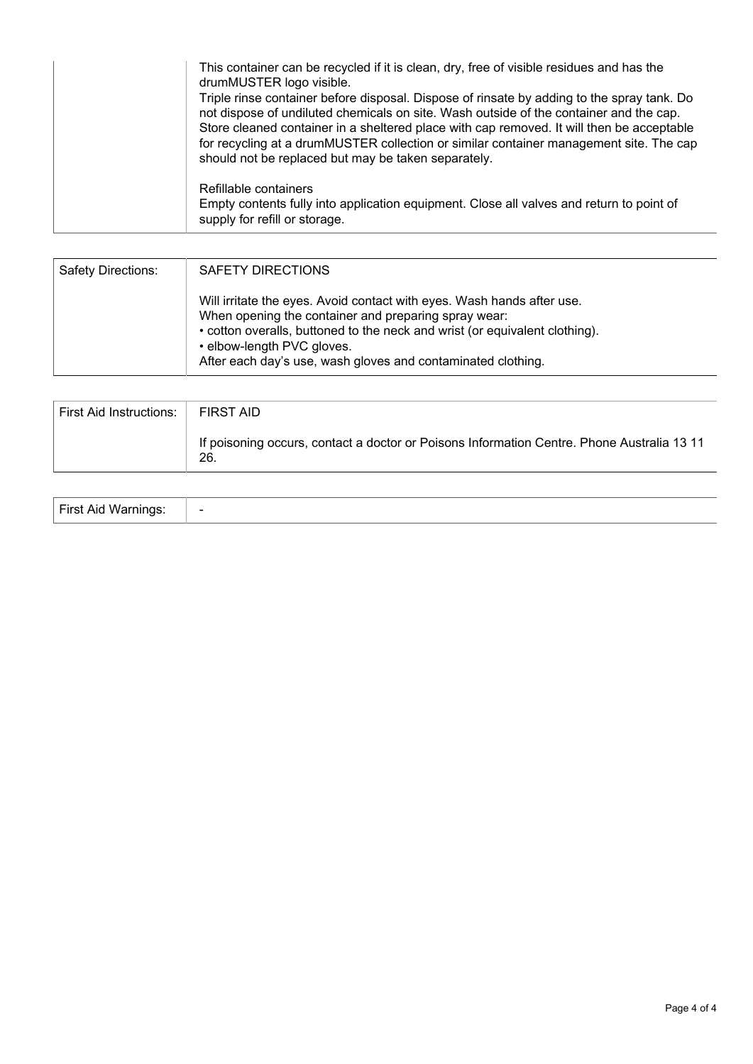| This container can be recycled if it is clean, dry, free of visible residues and has the<br>drumMUSTER logo visible.<br>Triple rinse container before disposal. Dispose of rinsate by adding to the spray tank. Do<br>not dispose of undiluted chemicals on site. Wash outside of the container and the cap.<br>Store cleaned container in a sheltered place with cap removed. It will then be acceptable<br>for recycling at a drumMUSTER collection or similar container management site. The cap<br>should not be replaced but may be taken separately. |
|------------------------------------------------------------------------------------------------------------------------------------------------------------------------------------------------------------------------------------------------------------------------------------------------------------------------------------------------------------------------------------------------------------------------------------------------------------------------------------------------------------------------------------------------------------|
| Refillable containers<br>Empty contents fully into application equipment. Close all valves and return to point of<br>supply for refill or storage.                                                                                                                                                                                                                                                                                                                                                                                                         |

| Safety Directions: | SAFETY DIRECTIONS                                                                                                                                                                                                                                                                                           |
|--------------------|-------------------------------------------------------------------------------------------------------------------------------------------------------------------------------------------------------------------------------------------------------------------------------------------------------------|
|                    | Will irritate the eyes. Avoid contact with eyes. Wash hands after use.<br>When opening the container and preparing spray wear:<br>• cotton overalls, buttoned to the neck and wrist (or equivalent clothing).<br>• elbow-length PVC gloves.<br>After each day's use, wash gloves and contaminated clothing. |

| First Aid Instructions:   FIRST AID |                                                                                                   |
|-------------------------------------|---------------------------------------------------------------------------------------------------|
|                                     | If poisoning occurs, contact a doctor or Poisons Information Centre. Phone Australia 13 11<br>26. |

| <b>First Aid Warnings</b> |  |
|---------------------------|--|
|---------------------------|--|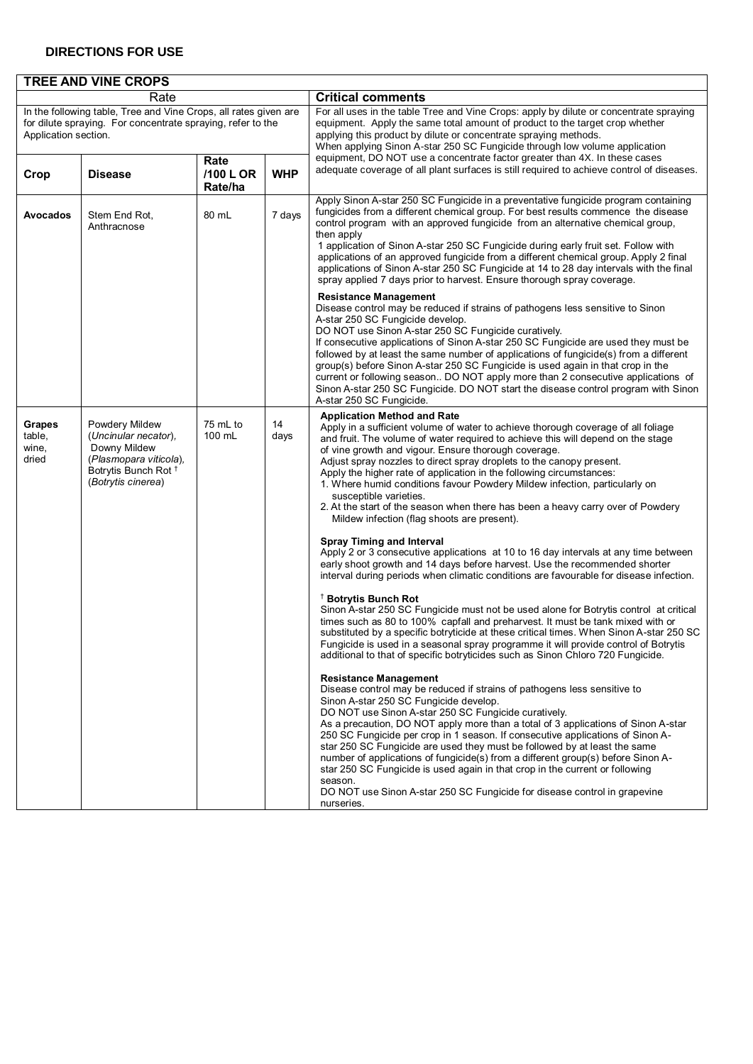### **DIRECTIONS FOR USE**

|                                                                                                                                                         | <b>TREE AND VINE CROPS</b>                                                                                                                |                              |            |                                                                                                                                                                                                                                                                                                                                                                                                                                                                                                                                                                                                                                                                                                                                                                                                                                                                                                |  |  |  |  |  |
|---------------------------------------------------------------------------------------------------------------------------------------------------------|-------------------------------------------------------------------------------------------------------------------------------------------|------------------------------|------------|------------------------------------------------------------------------------------------------------------------------------------------------------------------------------------------------------------------------------------------------------------------------------------------------------------------------------------------------------------------------------------------------------------------------------------------------------------------------------------------------------------------------------------------------------------------------------------------------------------------------------------------------------------------------------------------------------------------------------------------------------------------------------------------------------------------------------------------------------------------------------------------------|--|--|--|--|--|
|                                                                                                                                                         | Rate                                                                                                                                      |                              |            | <b>Critical comments</b>                                                                                                                                                                                                                                                                                                                                                                                                                                                                                                                                                                                                                                                                                                                                                                                                                                                                       |  |  |  |  |  |
| In the following table, Tree and Vine Crops, all rates given are<br>for dilute spraying. For concentrate spraying, refer to the<br>Application section. |                                                                                                                                           |                              |            | For all uses in the table Tree and Vine Crops: apply by dilute or concentrate spraying<br>equipment. Apply the same total amount of product to the target crop whether<br>applying this product by dilute or concentrate spraying methods.<br>When applying Sinon A-star 250 SC Fungicide through low volume application                                                                                                                                                                                                                                                                                                                                                                                                                                                                                                                                                                       |  |  |  |  |  |
| Crop                                                                                                                                                    | <b>Disease</b>                                                                                                                            | Rate<br>/100 L OR<br>Rate/ha | <b>WHP</b> | equipment, DO NOT use a concentrate factor greater than 4X. In these cases<br>adequate coverage of all plant surfaces is still required to achieve control of diseases.                                                                                                                                                                                                                                                                                                                                                                                                                                                                                                                                                                                                                                                                                                                        |  |  |  |  |  |
| Avocados                                                                                                                                                | Stem End Rot,<br>Anthracnose                                                                                                              | 80 mL                        | 7 days     | Apply Sinon A-star 250 SC Fungicide in a preventative fungicide program containing<br>fungicides from a different chemical group. For best results commence the disease<br>control program with an approved fungicide from an alternative chemical group,<br>then apply<br>1 application of Sinon A-star 250 SC Fungicide during early fruit set. Follow with<br>applications of an approved fungicide from a different chemical group. Apply 2 final<br>applications of Sinon A-star 250 SC Fungicide at 14 to 28 day intervals with the final<br>spray applied 7 days prior to harvest. Ensure thorough spray coverage.                                                                                                                                                                                                                                                                      |  |  |  |  |  |
|                                                                                                                                                         |                                                                                                                                           |                              |            | <b>Resistance Management</b><br>Disease control may be reduced if strains of pathogens less sensitive to Sinon<br>A-star 250 SC Fungicide develop.<br>DO NOT use Sinon A-star 250 SC Fungicide curatively.<br>If consecutive applications of Sinon A-star 250 SC Fungicide are used they must be<br>followed by at least the same number of applications of fungicide(s) from a different<br>group(s) before Sinon A-star 250 SC Fungicide is used again in that crop in the<br>current or following season DO NOT apply more than 2 consecutive applications of<br>Sinon A-star 250 SC Fungicide. DO NOT start the disease control program with Sinon<br>A-star 250 SC Fungicide.                                                                                                                                                                                                             |  |  |  |  |  |
| Grapes<br>table,<br>wine,<br>dried                                                                                                                      | Powdery Mildew<br>(Uncinular necator),<br>Downy Mildew<br>(Plasmopara viticola),<br>Botrytis Bunch Rot <sup>+</sup><br>(Botrytis cinerea) | 75 mL to<br>100 mL           | 14<br>days | <b>Application Method and Rate</b><br>Apply in a sufficient volume of water to achieve thorough coverage of all foliage<br>and fruit. The volume of water required to achieve this will depend on the stage<br>of vine growth and vigour. Ensure thorough coverage.<br>Adjust spray nozzles to direct spray droplets to the canopy present.<br>Apply the higher rate of application in the following circumstances:<br>1. Where humid conditions favour Powdery Mildew infection, particularly on<br>susceptible varieties.<br>2. At the start of the season when there has been a heavy carry over of Powdery<br>Mildew infection (flag shoots are present).                                                                                                                                                                                                                                  |  |  |  |  |  |
|                                                                                                                                                         |                                                                                                                                           |                              |            | <b>Spray Timing and Interval</b><br>Apply 2 or 3 consecutive applications at 10 to 16 day intervals at any time between<br>early shoot growth and 14 days before harvest. Use the recommended shorter<br>interval during periods when climatic conditions are favourable for disease infection.<br><sup>†</sup> Botrytis Bunch Rot<br>Sinon A-star 250 SC Fungicide must not be used alone for Botrytis control at critical<br>times such as 80 to 100% capfall and preharvest. It must be tank mixed with or<br>substituted by a specific botryticide at these critical times. When Sinon A-star 250 SC<br>Fungicide is used in a seasonal spray programme it will provide control of Botrytis<br>additional to that of specific botryticides such as Sinon Chloro 720 Fungicide.<br><b>Resistance Management</b><br>Disease control may be reduced if strains of pathogens less sensitive to |  |  |  |  |  |
|                                                                                                                                                         |                                                                                                                                           |                              |            | Sinon A-star 250 SC Fungicide develop.<br>DO NOT use Sinon A-star 250 SC Fungicide curatively.<br>As a precaution, DO NOT apply more than a total of 3 applications of Sinon A-star<br>250 SC Fungicide per crop in 1 season. If consecutive applications of Sinon A-<br>star 250 SC Fungicide are used they must be followed by at least the same<br>number of applications of fungicide(s) from a different group(s) before Sinon A-<br>star 250 SC Fungicide is used again in that crop in the current or following<br>season.<br>DO NOT use Sinon A-star 250 SC Fungicide for disease control in grapevine<br>nurseries.                                                                                                                                                                                                                                                                   |  |  |  |  |  |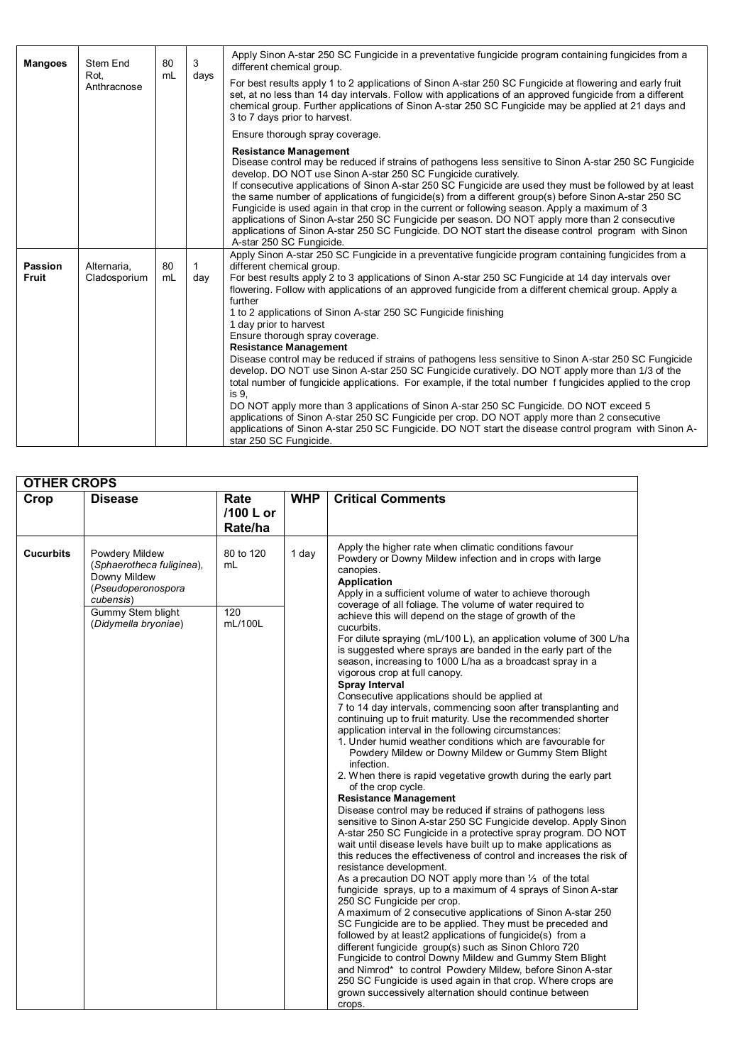| <b>Mangoes</b>          | Stem End<br>Rot.            | 3<br>80<br>mL<br>days |                     | Apply Sinon A-star 250 SC Fungicide in a preventative fungicide program containing fungicides from a<br>different chemical group.                                                                                                                                                                                                                                                                                                                                                                                                                                                                                                                                                                                                                                                                                                                                                                                                                                                                                                                                                                                                                                                             |
|-------------------------|-----------------------------|-----------------------|---------------------|-----------------------------------------------------------------------------------------------------------------------------------------------------------------------------------------------------------------------------------------------------------------------------------------------------------------------------------------------------------------------------------------------------------------------------------------------------------------------------------------------------------------------------------------------------------------------------------------------------------------------------------------------------------------------------------------------------------------------------------------------------------------------------------------------------------------------------------------------------------------------------------------------------------------------------------------------------------------------------------------------------------------------------------------------------------------------------------------------------------------------------------------------------------------------------------------------|
|                         | Anthracnose                 |                       |                     | For best results apply 1 to 2 applications of Sinon A-star 250 SC Fungicide at flowering and early fruit<br>set, at no less than 14 day intervals. Follow with applications of an approved fungicide from a different<br>chemical group. Further applications of Sinon A-star 250 SC Fungicide may be applied at 21 days and<br>3 to 7 days prior to harvest.                                                                                                                                                                                                                                                                                                                                                                                                                                                                                                                                                                                                                                                                                                                                                                                                                                 |
|                         |                             |                       |                     | Ensure thorough spray coverage.                                                                                                                                                                                                                                                                                                                                                                                                                                                                                                                                                                                                                                                                                                                                                                                                                                                                                                                                                                                                                                                                                                                                                               |
|                         |                             |                       |                     | <b>Resistance Management</b><br>Disease control may be reduced if strains of pathogens less sensitive to Sinon A-star 250 SC Fungicide<br>develop. DO NOT use Sinon A-star 250 SC Fungicide curatively.<br>If consecutive applications of Sinon A-star 250 SC Fungicide are used they must be followed by at least<br>the same number of applications of fungicide(s) from a different group(s) before Sinon A-star 250 SC<br>Fungicide is used again in that crop in the current or following season. Apply a maximum of 3<br>applications of Sinon A-star 250 SC Fungicide per season. DO NOT apply more than 2 consecutive<br>applications of Sinon A-star 250 SC Fungicide. DO NOT start the disease control program with Sinon<br>A-star 250 SC Fungicide.                                                                                                                                                                                                                                                                                                                                                                                                                               |
| Passion<br><b>Fruit</b> | Alternaria,<br>Cladosporium | 80<br>mL              | $\mathbf{1}$<br>day | Apply Sinon A-star 250 SC Fungicide in a preventative fungicide program containing fungicides from a<br>different chemical group.<br>For best results apply 2 to 3 applications of Sinon A-star 250 SC Fungicide at 14 day intervals over<br>flowering. Follow with applications of an approved fungicide from a different chemical group. Apply a<br>further<br>1 to 2 applications of Sinon A-star 250 SC Fungicide finishing<br>1 day prior to harvest<br>Ensure thorough spray coverage.<br><b>Resistance Management</b><br>Disease control may be reduced if strains of pathogens less sensitive to Sinon A-star 250 SC Fungicide<br>develop. DO NOT use Sinon A-star 250 SC Fungicide curatively. DO NOT apply more than 1/3 of the<br>total number of fungicide applications. For example, if the total number f fungicides applied to the crop<br>is 9.<br>DO NOT apply more than 3 applications of Sinon A-star 250 SC Fungicide. DO NOT exceed 5<br>applications of Sinon A-star 250 SC Fungicide per crop. DO NOT apply more than 2 consecutive<br>applications of Sinon A-star 250 SC Fungicide. DO NOT start the disease control program with Sinon A-<br>star 250 SC Fungicide. |

| <b>OTHER CROPS</b> |                                                                                                                                                  |                                                                                                                                                                                 |            |                                                                                                                                                                                                                                                                                                                                                                                                                                                                                                                                                                                                                                                                                                                                                                                                                                                                                                                                                                                                                                                                                                                                                                                                                                                                                                                                                                                                                                                                                                                                                                                                                                                                                                                                                                                                                                                                                                                                                         |
|--------------------|--------------------------------------------------------------------------------------------------------------------------------------------------|---------------------------------------------------------------------------------------------------------------------------------------------------------------------------------|------------|---------------------------------------------------------------------------------------------------------------------------------------------------------------------------------------------------------------------------------------------------------------------------------------------------------------------------------------------------------------------------------------------------------------------------------------------------------------------------------------------------------------------------------------------------------------------------------------------------------------------------------------------------------------------------------------------------------------------------------------------------------------------------------------------------------------------------------------------------------------------------------------------------------------------------------------------------------------------------------------------------------------------------------------------------------------------------------------------------------------------------------------------------------------------------------------------------------------------------------------------------------------------------------------------------------------------------------------------------------------------------------------------------------------------------------------------------------------------------------------------------------------------------------------------------------------------------------------------------------------------------------------------------------------------------------------------------------------------------------------------------------------------------------------------------------------------------------------------------------------------------------------------------------------------------------------------------------|
| Crop               | <b>Disease</b>                                                                                                                                   | Rate<br>/100 L or<br>Rate/ha                                                                                                                                                    | <b>WHP</b> | <b>Critical Comments</b>                                                                                                                                                                                                                                                                                                                                                                                                                                                                                                                                                                                                                                                                                                                                                                                                                                                                                                                                                                                                                                                                                                                                                                                                                                                                                                                                                                                                                                                                                                                                                                                                                                                                                                                                                                                                                                                                                                                                |
| <b>Cucurbits</b>   | 1 day<br>Powdery Mildew<br>80 to 120<br>(Sphaerotheca fuliginea),<br>mL<br>canopies.<br>Downy Mildew<br><b>Application</b><br>(Pseudoperonospora | Apply the higher rate when climatic conditions favour<br>Powdery or Downy Mildew infection and in crops with large<br>Apply in a sufficient volume of water to achieve thorough |            |                                                                                                                                                                                                                                                                                                                                                                                                                                                                                                                                                                                                                                                                                                                                                                                                                                                                                                                                                                                                                                                                                                                                                                                                                                                                                                                                                                                                                                                                                                                                                                                                                                                                                                                                                                                                                                                                                                                                                         |
|                    | cubensis)<br>Gummy Stem blight<br>(Didymella bryoniae)                                                                                           | 120<br>mL/100L                                                                                                                                                                  |            | coverage of all foliage. The volume of water required to<br>achieve this will depend on the stage of growth of the<br>cucurbits.<br>For dilute spraying (mL/100 L), an application volume of 300 L/ha<br>is suggested where sprays are banded in the early part of the<br>season, increasing to 1000 L/ha as a broadcast spray in a<br>vigorous crop at full canopy.<br>Spray Interval<br>Consecutive applications should be applied at<br>7 to 14 day intervals, commencing soon after transplanting and<br>continuing up to fruit maturity. Use the recommended shorter<br>application interval in the following circumstances:<br>1. Under humid weather conditions which are favourable for<br>Powdery Mildew or Downy Mildew or Gummy Stem Blight<br>infection.<br>2. When there is rapid vegetative growth during the early part<br>of the crop cycle.<br><b>Resistance Management</b><br>Disease control may be reduced if strains of pathogens less<br>sensitive to Sinon A-star 250 SC Fungicide develop. Apply Sinon<br>A-star 250 SC Fungicide in a protective spray program. DO NOT<br>wait until disease levels have built up to make applications as<br>this reduces the effectiveness of control and increases the risk of<br>resistance development.<br>As a precaution DO NOT apply more than $\frac{1}{3}$ of the total<br>fungicide sprays, up to a maximum of 4 sprays of Sinon A-star<br>250 SC Fungicide per crop.<br>A maximum of 2 consecutive applications of Sinon A-star 250<br>SC Fungicide are to be applied. They must be preceded and<br>followed by at least2 applications of fungicide(s) from a<br>different fungicide group(s) such as Sinon Chloro 720<br>Fungicide to control Downy Mildew and Gummy Stem Blight<br>and Nimrod* to control Powdery Mildew, before Sinon A-star<br>250 SC Fungicide is used again in that crop. Where crops are<br>grown successively alternation should continue between<br>crops. |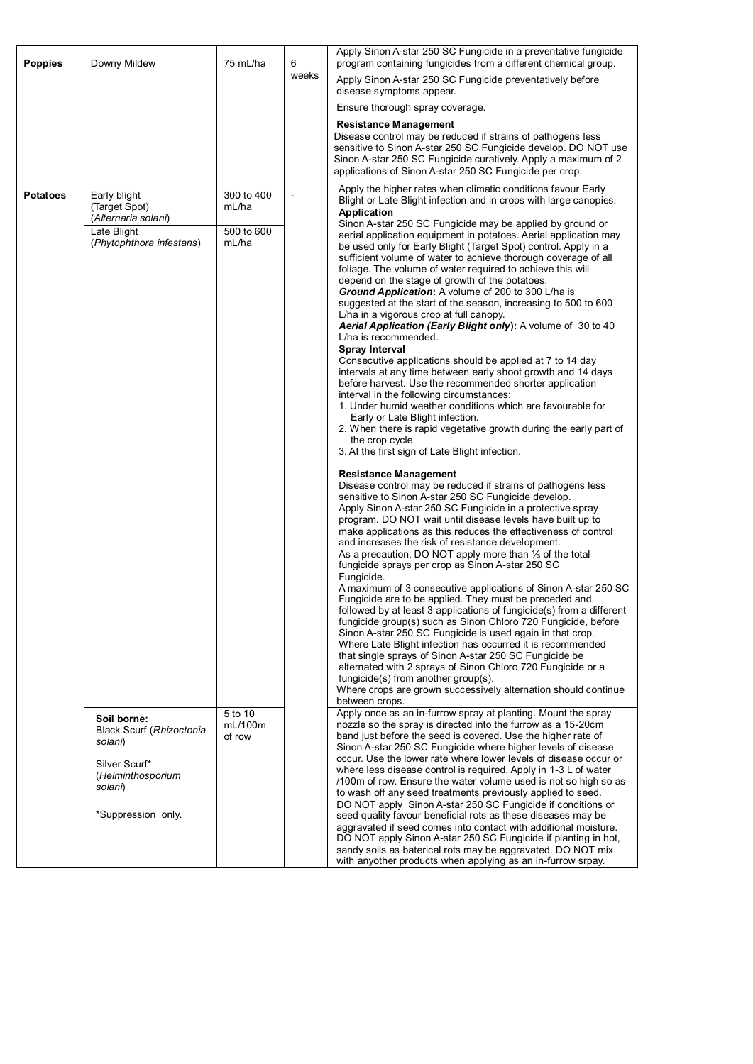| <b>Poppies</b>  | Downy Mildew                                                                                                              | 75 mL/ha                     | 6              | Apply Sinon A-star 250 SC Fungicide in a preventative fungicide<br>program containing fungicides from a different chemical group.                                                                                                                                                                                                                                                                                                                                                                                                                                                                                                                                                                                                                                                                                                                                                                                                                                                                                                                                                                                                                                                                                                                                                                                                                                                                                                                                                                                                                                                                                                                                                                                          |
|-----------------|---------------------------------------------------------------------------------------------------------------------------|------------------------------|----------------|----------------------------------------------------------------------------------------------------------------------------------------------------------------------------------------------------------------------------------------------------------------------------------------------------------------------------------------------------------------------------------------------------------------------------------------------------------------------------------------------------------------------------------------------------------------------------------------------------------------------------------------------------------------------------------------------------------------------------------------------------------------------------------------------------------------------------------------------------------------------------------------------------------------------------------------------------------------------------------------------------------------------------------------------------------------------------------------------------------------------------------------------------------------------------------------------------------------------------------------------------------------------------------------------------------------------------------------------------------------------------------------------------------------------------------------------------------------------------------------------------------------------------------------------------------------------------------------------------------------------------------------------------------------------------------------------------------------------------|
|                 |                                                                                                                           |                              | weeks          | Apply Sinon A-star 250 SC Fungicide preventatively before<br>disease symptoms appear.                                                                                                                                                                                                                                                                                                                                                                                                                                                                                                                                                                                                                                                                                                                                                                                                                                                                                                                                                                                                                                                                                                                                                                                                                                                                                                                                                                                                                                                                                                                                                                                                                                      |
|                 |                                                                                                                           |                              |                | Ensure thorough spray coverage.                                                                                                                                                                                                                                                                                                                                                                                                                                                                                                                                                                                                                                                                                                                                                                                                                                                                                                                                                                                                                                                                                                                                                                                                                                                                                                                                                                                                                                                                                                                                                                                                                                                                                            |
|                 |                                                                                                                           |                              |                | <b>Resistance Management</b><br>Disease control may be reduced if strains of pathogens less<br>sensitive to Sinon A-star 250 SC Fungicide develop. DO NOT use<br>Sinon A-star 250 SC Fungicide curatively. Apply a maximum of 2<br>applications of Sinon A-star 250 SC Fungicide per crop.                                                                                                                                                                                                                                                                                                                                                                                                                                                                                                                                                                                                                                                                                                                                                                                                                                                                                                                                                                                                                                                                                                                                                                                                                                                                                                                                                                                                                                 |
| <b>Potatoes</b> | Early blight<br>(Target Spot)<br>(Alternaria solani)<br>Late Blight<br>(Phytophthora infestans)                           |                              | $\overline{a}$ | Apply the higher rates when climatic conditions favour Early<br>Blight or Late Blight infection and in crops with large canopies.<br><b>Application</b><br>Sinon A-star 250 SC Fungicide may be applied by ground or<br>aerial application equipment in potatoes. Aerial application may<br>be used only for Early Blight (Target Spot) control. Apply in a<br>sufficient volume of water to achieve thorough coverage of all<br>foliage. The volume of water required to achieve this will<br>depend on the stage of growth of the potatoes.<br>Ground Application: A volume of 200 to 300 L/ha is<br>suggested at the start of the season, increasing to 500 to 600<br>L/ha in a vigorous crop at full canopy.<br>Aerial Application (Early Blight only): A volume of 30 to 40<br>L/ha is recommended.<br><b>Spray Interval</b><br>Consecutive applications should be applied at 7 to 14 day<br>intervals at any time between early shoot growth and 14 days<br>before harvest. Use the recommended shorter application<br>interval in the following circumstances:<br>1. Under humid weather conditions which are favourable for<br>Early or Late Blight infection.<br>2. When there is rapid vegetative growth during the early part of<br>the crop cycle.<br>3. At the first sign of Late Blight infection.<br><b>Resistance Management</b><br>Disease control may be reduced if strains of pathogens less<br>sensitive to Sinon A-star 250 SC Fungicide develop.<br>Apply Sinon A-star 250 SC Fungicide in a protective spray<br>program. DO NOT wait until disease levels have built up to<br>make applications as this reduces the effectiveness of control                                                        |
|                 | Soil borne:<br>Black Scurf (Rhizoctonia<br>solani)<br>Silver Scurf*<br>(Helminthosporium<br>solani)<br>*Suppression only. | 5 to 10<br>mL/100m<br>of row |                | As a precaution, DO NOT apply more than 1/3 of the total<br>fungicide sprays per crop as Sinon A-star 250 SC<br>Fungicide.<br>A maximum of 3 consecutive applications of Sinon A-star 250 SC<br>Fungicide are to be applied. They must be preceded and<br>followed by at least 3 applications of fungicide(s) from a different<br>fungicide group(s) such as Sinon Chloro 720 Fungicide, before<br>Sinon A-star 250 SC Fungicide is used again in that crop.<br>Where Late Blight infection has occurred it is recommended<br>that single sprays of Sinon A-star 250 SC Fungicide be<br>alternated with 2 sprays of Sinon Chloro 720 Fungicide or a<br>fungicide(s) from another group(s).<br>Where crops are grown successively alternation should continue<br>between crops.<br>Apply once as an in-furrow spray at planting. Mount the spray<br>nozzle so the spray is directed into the furrow as a 15-20cm<br>band just before the seed is covered. Use the higher rate of<br>Sinon A-star 250 SC Fungicide where higher levels of disease<br>occur. Use the lower rate where lower levels of disease occur or<br>where less disease control is required. Apply in 1-3 L of water<br>/100m of row. Ensure the water volume used is not so high so as<br>to wash off any seed treatments previously applied to seed.<br>DO NOT apply Sinon A-star 250 SC Fungicide if conditions or<br>seed quality favour beneficial rots as these diseases may be<br>aggravated if seed comes into contact with additional moisture.<br>DO NOT apply Sinon A-star 250 SC Fungicide if planting in hot,<br>sandy soils as baterical rots may be aggravated. DO NOT mix<br>with anyother products when applying as an in-furrow srpay. |